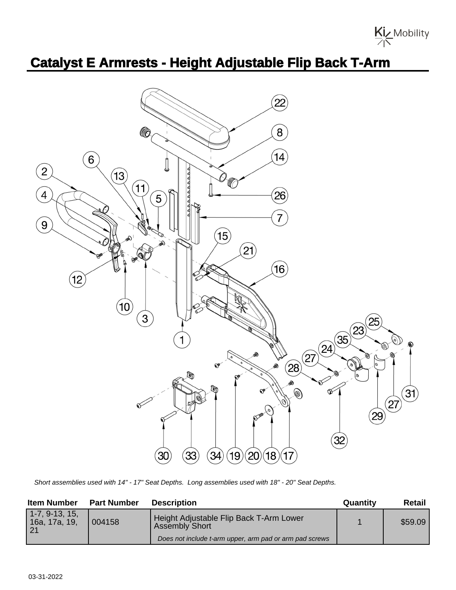

## **Catalyst E Armrests - Height Adjustable Flip Back T-Arm**



Short assemblies used with 14" - 17" Seat Depths. Long assemblies used with 18" - 20" Seat Depths.

| <b>Item Number</b>                                   | <b>Part Number</b> | <b>Description</b>                                                                                                          | Quantity | Retail  |
|------------------------------------------------------|--------------------|-----------------------------------------------------------------------------------------------------------------------------|----------|---------|
| $1-7, 9-13, 15,$<br>16a, 17a, 19,<br>$\overline{21}$ | 004158             | Height Adjustable Flip Back T-Arm Lower<br><b>Assembly Short</b><br>Does not include t-arm upper, arm pad or arm pad screws |          | \$59.09 |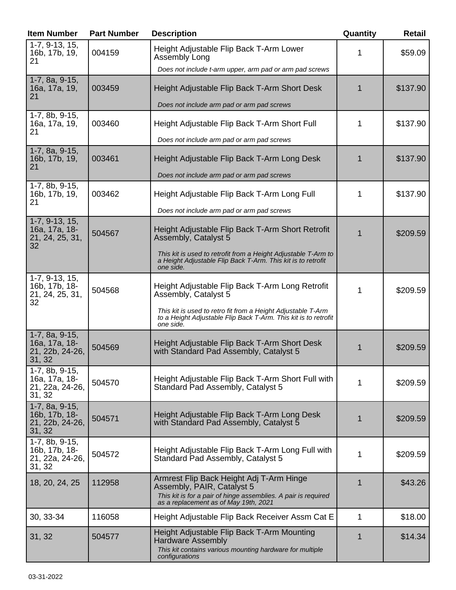| <b>Item Number</b>                                                         | <b>Part Number</b> | <b>Description</b>                                                                                                                                                                | Quantity    | Retail   |
|----------------------------------------------------------------------------|--------------------|-----------------------------------------------------------------------------------------------------------------------------------------------------------------------------------|-------------|----------|
| $\overline{1}$ -7, 9-13, 15,<br>16b, 17b, 19,<br>21                        | 004159             | Height Adjustable Flip Back T-Arm Lower<br>Assembly Long                                                                                                                          | 1           | \$59.09  |
|                                                                            |                    | Does not include t-arm upper, arm pad or arm pad screws                                                                                                                           |             |          |
| 1-7, 8a, 9-15,<br>16a, 17a, 19,<br>21                                      | 003459             | Height Adjustable Flip Back T-Arm Short Desk                                                                                                                                      | 1           | \$137.90 |
|                                                                            |                    | Does not include arm pad or arm pad screws                                                                                                                                        |             |          |
| 1-7, 8b, 9-15,<br>16a, 17a, 19,<br>21                                      | 003460             | Height Adjustable Flip Back T-Arm Short Full                                                                                                                                      | 1           | \$137.90 |
|                                                                            |                    | Does not include arm pad or arm pad screws                                                                                                                                        |             |          |
| 1-7, 8a, 9-15,<br>16b, 17b, 19,<br>21                                      | 003461             | Height Adjustable Flip Back T-Arm Long Desk                                                                                                                                       | 1           | \$137.90 |
|                                                                            |                    | Does not include arm pad or arm pad screws                                                                                                                                        |             |          |
| 1-7, 8b, 9-15,<br>16b, 17b, 19,<br>21                                      | 003462             | Height Adjustable Flip Back T-Arm Long Full                                                                                                                                       | 1           | \$137.90 |
|                                                                            |                    | Does not include arm pad or arm pad screws                                                                                                                                        |             |          |
| 1-7, 9-13, 15,<br>16a, 17a, 18-<br>21, 24, 25, 31,<br>32                   | 504567             | Height Adjustable Flip Back T-Arm Short Retrofit<br>Assembly, Catalyst 5                                                                                                          | 1           | \$209.59 |
|                                                                            |                    | This kit is used to retrofit from a Height Adjustable T-Arm to<br>a Height Adjustable Flip Back T-Arm. This kit is to retrofit<br>one side.                                       |             |          |
| 1-7, 9-13, 15,<br>16b, 17b, 18-<br>21, 24, 25, 31,                         | 504568             | Height Adjustable Flip Back T-Arm Long Retrofit<br>Assembly, Catalyst 5                                                                                                           | 1           | \$209.59 |
| 32                                                                         |                    | This kit is used to retro fit from a Height Adjustable T-Arm<br>to a Height Adjustable Flip Back T-Arm. This kit is to retrofit<br>one side.                                      |             |          |
| 1-7, 8a, 9-15,<br>16a, 17a, 18-<br>21, 22b, 24-26,<br>31, 32               | 504569             | Height Adjustable Flip Back T-Arm Short Desk<br>with Standard Pad Assembly, Catalyst 5                                                                                            | 1           | \$209.59 |
| 1-7, 8b, 9-15,<br>16a, 17a, 18-<br>21, 22a, 24-26,<br>31, 32               | 504570             | Height Adjustable Flip Back T-Arm Short Full with<br>Standard Pad Assembly, Catalyst 5                                                                                            | 1           | \$209.59 |
| 1-7, 8a, 9-15,<br>16b, 17b, 18-<br>21, 22b, 24-26,<br>31, 32               | 504571             | Height Adjustable Flip Back T-Arm Long Desk<br>with Standard Pad Assembly, Catalyst 5                                                                                             | 1           | \$209.59 |
| $\overline{1}$ -7, 8b, 9-15,<br>16b, 17b, 18-<br>21, 22a, 24-26,<br>31, 32 | 504572             | Height Adjustable Flip Back T-Arm Long Full with<br>Standard Pad Assembly, Catalyst 5                                                                                             | 1           | \$209.59 |
| 18, 20, 24, 25                                                             | 112958             | Armrest Flip Back Height Adj T-Arm Hinge<br>Assembly, PAIR, Catalyst 5<br>This kit is for a pair of hinge assemblies. A pair is required<br>as a replacement as of May 19th, 2021 | $\mathbf 1$ | \$43.26  |
| 30, 33-34                                                                  | 116058             | Height Adjustable Flip Back Receiver Assm Cat E                                                                                                                                   | 1           | \$18.00  |
| 31, 32                                                                     | 504577             | Height Adjustable Flip Back T-Arm Mounting<br><b>Hardware Assembly</b><br>This kit contains various mounting hardware for multiple                                                | 1           | \$14.34  |
|                                                                            |                    | configurations                                                                                                                                                                    |             |          |